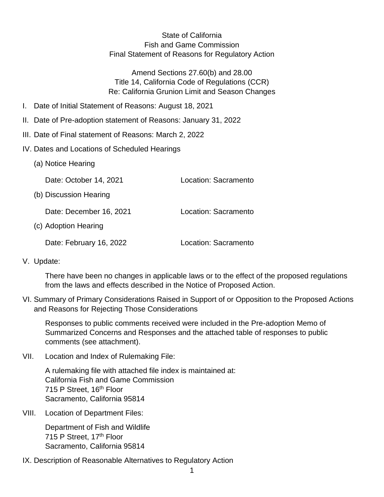State of California Fish and Game Commission Final Statement of Reasons for Regulatory Action

Amend Sections 27.60(b) and 28.00 Title 14, California Code of Regulations (CCR) Re: California Grunion Limit and Season Changes

- I. Date of Initial Statement of Reasons: August 18, 2021
- II. Date of Pre-adoption statement of Reasons: January 31, 2022
- III. Date of Final statement of Reasons: March 2, 2022
- IV. Dates and Locations of Scheduled Hearings
	- (a) Notice Hearing

Date: October 14, 2021 Location: Sacramento

(b) Discussion Hearing

Date: December 16, 2021 Location: Sacramento

(c) Adoption Hearing

Date: February 16, 2022 Location: Sacramento

V. Update:

There have been no changes in applicable laws or to the effect of the proposed regulations from the laws and effects described in the Notice of Proposed Action.

VI. Summary of Primary Considerations Raised in Support of or Opposition to the Proposed Actions and Reasons for Rejecting Those Considerations

Responses to public comments received were included in the Pre-adoption Memo of Summarized Concerns and Responses and the attached table of responses to public comments (see attachment).

VII. Location and Index of Rulemaking File:

A rulemaking file with attached file index is maintained at: California Fish and Game Commission 715 P Street, 16<sup>th</sup> Floor Sacramento, California 95814

VIII. Location of Department Files:

Department of Fish and Wildlife 715 P Street, 17th Floor Sacramento, California 95814

IX. Description of Reasonable Alternatives to Regulatory Action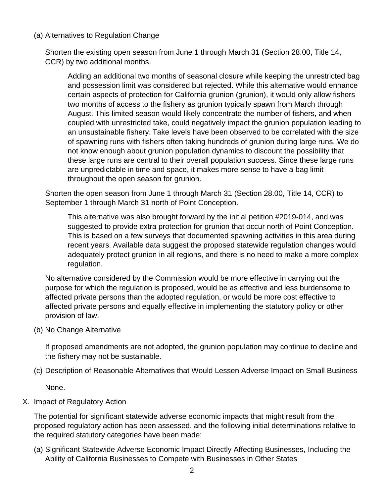## (a) Alternatives to Regulation Change

Shorten the existing open season from June 1 through March 31 (Section 28.00, Title 14, CCR) by two additional months.

Adding an additional two months of seasonal closure while keeping the unrestricted bag and possession limit was considered but rejected. While this alternative would enhance certain aspects of protection for California grunion (grunion), it would only allow fishers two months of access to the fishery as grunion typically spawn from March through August. This limited season would likely concentrate the number of fishers, and when coupled with unrestricted take, could negatively impact the grunion population leading to an unsustainable fishery. Take levels have been observed to be correlated with the size of spawning runs with fishers often taking hundreds of grunion during large runs. We do not know enough about grunion population dynamics to discount the possibility that these large runs are central to their overall population success. Since these large runs are unpredictable in time and space, it makes more sense to have a bag limit throughout the open season for grunion.

Shorten the open season from June 1 through March 31 (Section 28.00, Title 14, CCR) to September 1 through March 31 north of Point Conception.

This alternative was also brought forward by the initial petition #2019-014, and was suggested to provide extra protection for grunion that occur north of Point Conception. This is based on a few surveys that documented spawning activities in this area during recent years. Available data suggest the proposed statewide regulation changes would adequately protect grunion in all regions, and there is no need to make a more complex regulation.

No alternative considered by the Commission would be more effective in carrying out the purpose for which the regulation is proposed, would be as effective and less burdensome to affected private persons than the adopted regulation, or would be more cost effective to affected private persons and equally effective in implementing the statutory policy or other provision of law.

(b) No Change Alternative

If proposed amendments are not adopted, the grunion population may continue to decline and the fishery may not be sustainable.

(c) Description of Reasonable Alternatives that Would Lessen Adverse Impact on Small Business

None.

X. Impact of Regulatory Action

The potential for significant statewide adverse economic impacts that might result from the proposed regulatory action has been assessed, and the following initial determinations relative to the required statutory categories have been made:

(a) Significant Statewide Adverse Economic Impact Directly Affecting Businesses, Including the Ability of California Businesses to Compete with Businesses in Other States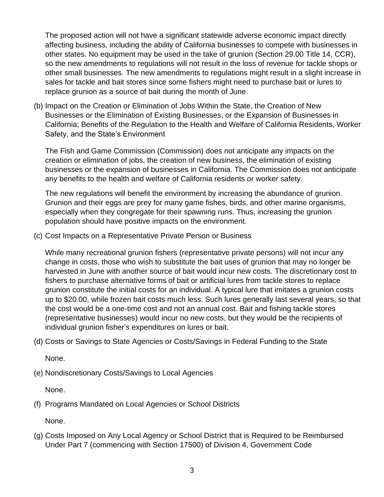The proposed action will not have a significant statewide adverse economic impact directly affecting business, including the ability of California businesses to compete with businesses in other states. No equipment may be used in the take of grunion (Section 29.00 Title 14, CCR), so the new amendments to regulations will not result in the loss of revenue for tackle shops or other small businesses. The new amendments to regulations might result in a slight increase in sales for tackle and bait stores since some fishers might need to purchase bait or lures to replace grunion as a source of bait during the month of June.

(b) Impact on the Creation or Elimination of Jobs Within the State, the Creation of New Businesses or the Elimination of Existing Businesses, or the Expansion of Businesses in California; Benefits of the Regulation to the Health and Welfare of California Residents, Worker Safety, and the State's Environment

The Fish and Game Commission (Commission) does not anticipate any impacts on the creation or elimination of jobs, the creation of new business, the elimination of existing businesses or the expansion of businesses in California. The Commission does not anticipate any benefits to the health and welfare of California residents or worker safety.

The new regulations will benefit the environment by increasing the abundance of grunion. Grunion and their eggs are prey for many game fishes, birds, and other marine organisms, especially when they congregate for their spawning runs. Thus, increasing the grunion population should have positive impacts on the environment.

(c) Cost Impacts on a Representative Private Person or Business

While many recreational grunion fishers (representative private persons) will not incur any change in costs, those who wish to substitute the bait uses of grunion that may no longer be harvested in June with another source of bait would incur new costs. The discretionary cost to fishers to purchase alternative forms of bait or artificial lures from tackle stores to replace grunion constitute the initial costs for an individual. A typical lure that imitates a grunion costs up to \$20.00, while frozen bait costs much less. Such lures generally last several years, so that the cost would be a one-time cost and not an annual cost. Bait and fishing tackle stores (representative businesses) would incur no new costs, but they would be the recipients of individual grunion fisher's expenditures on lures or bait.

(d) Costs or Savings to State Agencies or Costs/Savings in Federal Funding to the State

None.

(e) Nondiscretionary Costs/Savings to Local Agencies

None.

(f) Programs Mandated on Local Agencies or School Districts

None.

(g) Costs Imposed on Any Local Agency or School District that is Required to be Reimbursed Under Part 7 (commencing with Section 17500) of Division 4, Government Code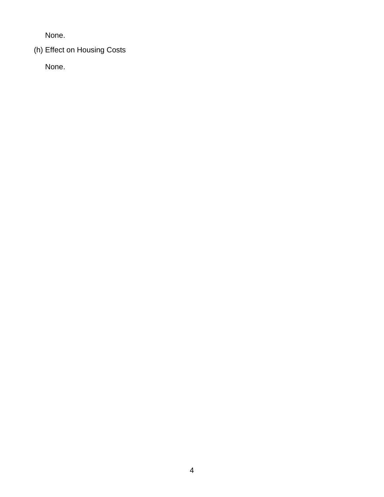None.

(h) Effect on Housing Costs

None.